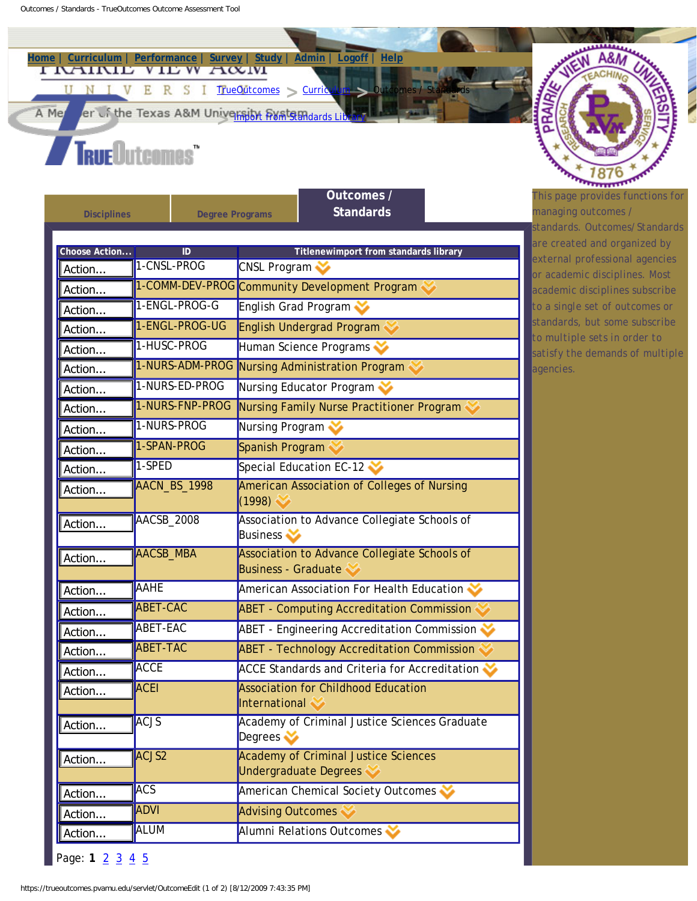**[Home](https://trueoutcomes.pvamu.edu/servlet/ToMenu) | [Curriculum](https://trueoutcomes.pvamu.edu/servlet/ToMenu?menu=curriculum) | [Performance](https://trueoutcomes.pvamu.edu/servlet/JepEdit) | [Survey](https://trueoutcomes.pvamu.edu/servlet/SurveyEdit) | [Study](https://trueoutcomes.pvamu.edu/servlet/StudyMgr) | [Admin](https://trueoutcomes.pvamu.edu/servlet/ToMenu?menu=admin) | [Logoff](https://trueoutcomes.pvamu.edu/servlet/Logout) | [Help](javascript:loadHelp(nav.data.h0))**  E R S I [TrueOutcomes](https://trueoutcomes.pvamu.edu/servlet/ToMenu) > Curric  $\mathbf{V}$ U

er of the Texas A&M Universident from Standards Li A Me

## **TrueOutcomes**"

| <b>Disciplines</b>      | <b>Degree Programs</b> | Outcomes /<br><b>Standards</b>                                                 |  |
|-------------------------|------------------------|--------------------------------------------------------------------------------|--|
|                         |                        |                                                                                |  |
| Choose Action<br>Action | ID<br>1-CNSL-PROG      | Titlenewimport from standards library<br>CNSL Program                          |  |
| Action                  |                        | 1-COMM-DEV-PROG Community Development Program                                  |  |
| Action                  | 1-ENGL-PROG-G          | English Grad Program                                                           |  |
| Action                  | 1-ENGL-PROG-UG         | <b>English Undergrad Program</b>                                               |  |
| Action                  | 1-HUSC-PROG            | Human Science Programs                                                         |  |
| Action                  | 1-NURS-ADM-PROG        | Nursing Administration Program                                                 |  |
| Action                  | 1-NURS-ED-PROG         | Nursing Educator Program                                                       |  |
| Action                  | 1-NURS-FNP-PROG        | Nursing Family Nurse Practitioner Program                                      |  |
| Action                  | 1-NURS-PROG            | Nursing Program                                                                |  |
| Action                  | 1-SPAN-PROG            | Spanish Program                                                                |  |
| Action                  | 1-SPED                 | Special Education EC-12                                                        |  |
| Action                  | AACN_BS_1998           | <b>American Association of Colleges of Nursing</b><br>(1998)                   |  |
| Action                  | <b>AACSB_2008</b>      | Association to Advance Collegiate Schools of<br><b>Business</b>                |  |
| Action                  | <b>AACSB_MBA</b>       | Association to Advance Collegiate Schools of<br><b>Business - Graduate</b>     |  |
| Action                  | <b>AAHE</b>            | American Association For Health Education                                      |  |
| Action                  | <b>ABET-CAC</b>        | <b>ABET - Computing Accreditation Commission</b>                               |  |
| Action                  | <b>ABET-EAC</b>        | <b>ABET - Engineering Accreditation Commission</b>                             |  |
| Action                  | <b>ABET-TAC</b>        | <b>ABET - Technology Accreditation Commission</b>                              |  |
| Action                  | <b>ACCE</b>            | <b>ACCE Standards and Criteria for Accreditation</b>                           |  |
| Action                  | ACEI                   | <b>Association for Childhood Education</b><br>International                    |  |
| Action                  | <b>ACJS</b>            | Academy of Criminal Justice Sciences Graduate<br>Degrees $\blacktriangleright$ |  |
| Action                  | ACJS2                  | <b>Academy of Criminal Justice Sciences</b><br><b>Undergraduate Degrees</b>    |  |
| Action                  | <b>ACS</b>             | American Chemical Society Outcomes                                             |  |
| Action                  | <b>ADVI</b>            | <b>Advising Outcomes</b>                                                       |  |
|                         | <b>ALUM</b>            | Alumni Relations Outcomes                                                      |  |



*This page provides functions for managing outcomes / standards. Outcomes/Standards are created and organized by external professional agencies or academic disciplines. Most academic disciplines subscribe to a single set of outcomes or standards, but some subscribe to multiple sets in order to satisfy the demands of multiple agencies.*